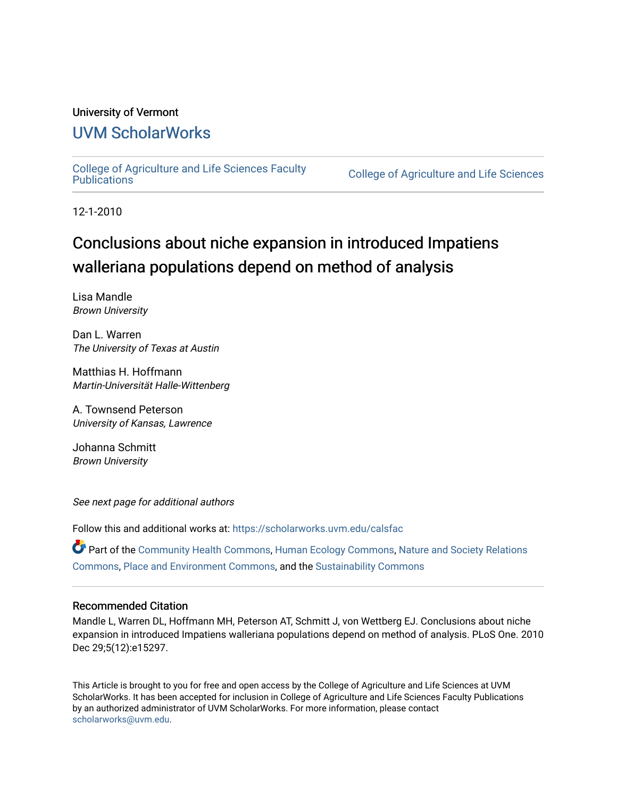## University of Vermont

## [UVM ScholarWorks](https://scholarworks.uvm.edu/)

[College of Agriculture and Life Sciences Faculty](https://scholarworks.uvm.edu/calsfac) 

**College of Agriculture and Life Sciences** 

12-1-2010

## Conclusions about niche expansion in introduced Impatiens walleriana populations depend on method of analysis

Lisa Mandle Brown University

Dan L. Warren The University of Texas at Austin

Matthias H. Hoffmann Martin-Universität Halle-Wittenberg

A. Townsend Peterson University of Kansas, Lawrence

Johanna Schmitt Brown University

See next page for additional authors

Follow this and additional works at: [https://scholarworks.uvm.edu/calsfac](https://scholarworks.uvm.edu/calsfac?utm_source=scholarworks.uvm.edu%2Fcalsfac%2F67&utm_medium=PDF&utm_campaign=PDFCoverPages)

Part of the [Community Health Commons,](http://network.bepress.com/hgg/discipline/714?utm_source=scholarworks.uvm.edu%2Fcalsfac%2F67&utm_medium=PDF&utm_campaign=PDFCoverPages) [Human Ecology Commons](http://network.bepress.com/hgg/discipline/1335?utm_source=scholarworks.uvm.edu%2Fcalsfac%2F67&utm_medium=PDF&utm_campaign=PDFCoverPages), [Nature and Society Relations](http://network.bepress.com/hgg/discipline/357?utm_source=scholarworks.uvm.edu%2Fcalsfac%2F67&utm_medium=PDF&utm_campaign=PDFCoverPages)  [Commons](http://network.bepress.com/hgg/discipline/357?utm_source=scholarworks.uvm.edu%2Fcalsfac%2F67&utm_medium=PDF&utm_campaign=PDFCoverPages), [Place and Environment Commons](http://network.bepress.com/hgg/discipline/424?utm_source=scholarworks.uvm.edu%2Fcalsfac%2F67&utm_medium=PDF&utm_campaign=PDFCoverPages), and the [Sustainability Commons](http://network.bepress.com/hgg/discipline/1031?utm_source=scholarworks.uvm.edu%2Fcalsfac%2F67&utm_medium=PDF&utm_campaign=PDFCoverPages)

### Recommended Citation

Mandle L, Warren DL, Hoffmann MH, Peterson AT, Schmitt J, von Wettberg EJ. Conclusions about niche expansion in introduced Impatiens walleriana populations depend on method of analysis. PLoS One. 2010 Dec 29;5(12):e15297.

This Article is brought to you for free and open access by the College of Agriculture and Life Sciences at UVM ScholarWorks. It has been accepted for inclusion in College of Agriculture and Life Sciences Faculty Publications by an authorized administrator of UVM ScholarWorks. For more information, please contact [scholarworks@uvm.edu](mailto:scholarworks@uvm.edu).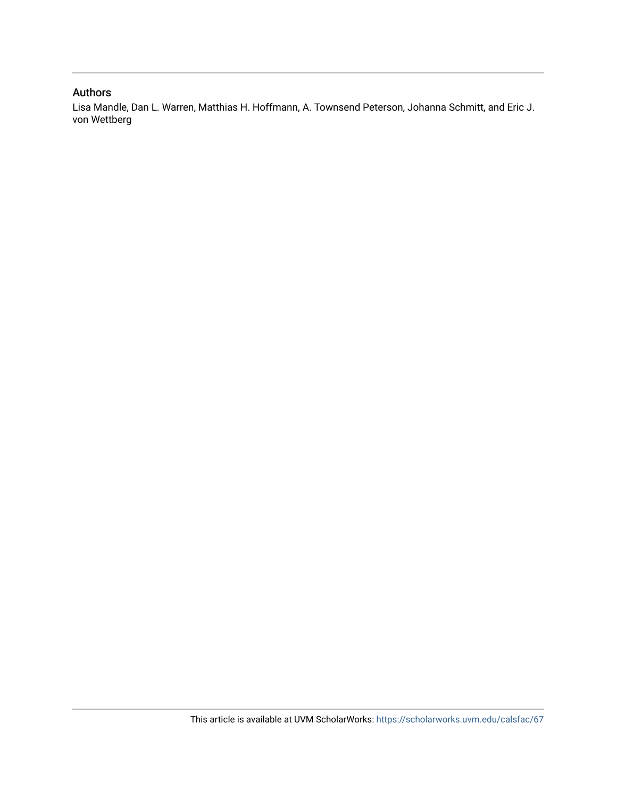### Authors

Lisa Mandle, Dan L. Warren, Matthias H. Hoffmann, A. Townsend Peterson, Johanna Schmitt, and Eric J. von Wettberg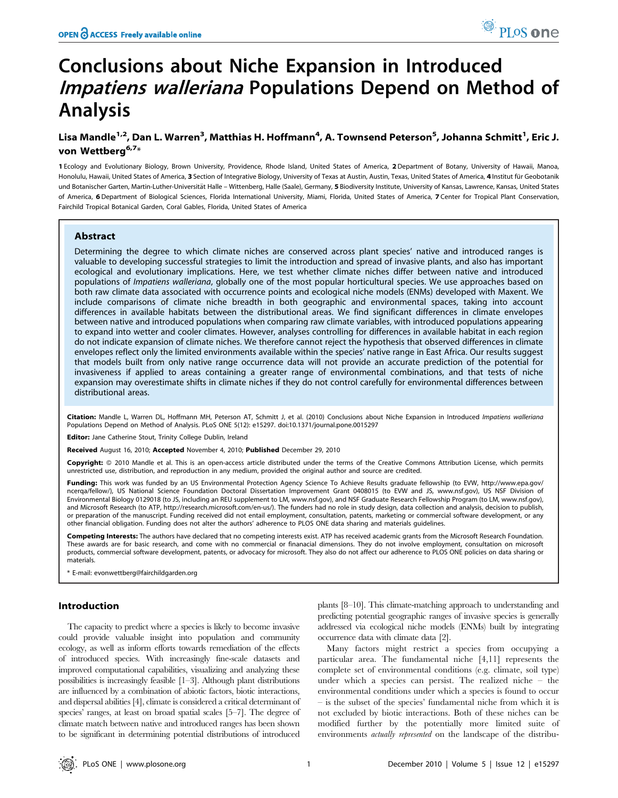# Conclusions about Niche Expansion in Introduced Impatiens walleriana Populations Depend on Method of Analysis

## Lisa Mandle<sup>1,2</sup>, Dan L. Warren<sup>3</sup>, Matthias H. Hoffmann<sup>4</sup>, A. Townsend Peterson<sup>5</sup>, Johanna Schmitt<sup>1</sup>, Eric J. von Wettberg<sup>6,7\*</sup>

1 Ecology and Evolutionary Biology, Brown University, Providence, Rhode Island, United States of America, 2 Department of Botany, University of Hawaii, Manoa, Honolulu, Hawaii, United States of America, 3 Section of Integrative Biology, University of Texas at Austin, Austin, Texas, United States of America, 4 Institut für Geobotanik und Botanischer Garten, Martin-Luther-Universität Halle – Wittenberg, Halle (Saale), Germany, 5 Biodiversity Institute, University of Kansas, Lawrence, Kansas, United States of America, 6 Department of Biological Sciences, Florida International University, Miami, Florida, United States of America, 7 Center for Tropical Plant Conservation, Fairchild Tropical Botanical Garden, Coral Gables, Florida, United States of America

#### Abstract

Determining the degree to which climate niches are conserved across plant species' native and introduced ranges is valuable to developing successful strategies to limit the introduction and spread of invasive plants, and also has important ecological and evolutionary implications. Here, we test whether climate niches differ between native and introduced populations of Impatiens walleriana, globally one of the most popular horticultural species. We use approaches based on both raw climate data associated with occurrence points and ecological niche models (ENMs) developed with Maxent. We include comparisons of climate niche breadth in both geographic and environmental spaces, taking into account differences in available habitats between the distributional areas. We find significant differences in climate envelopes between native and introduced populations when comparing raw climate variables, with introduced populations appearing to expand into wetter and cooler climates. However, analyses controlling for differences in available habitat in each region do not indicate expansion of climate niches. We therefore cannot reject the hypothesis that observed differences in climate envelopes reflect only the limited environments available within the species' native range in East Africa. Our results suggest that models built from only native range occurrence data will not provide an accurate prediction of the potential for invasiveness if applied to areas containing a greater range of environmental combinations, and that tests of niche expansion may overestimate shifts in climate niches if they do not control carefully for environmental differences between distributional areas.

Citation: Mandle L, Warren DL, Hoffmann MH, Peterson AT, Schmitt J, et al. (2010) Conclusions about Niche Expansion in Introduced Impatiens walleriana Populations Depend on Method of Analysis. PLoS ONE 5(12): e15297. doi:10.1371/journal.pone.0015297

Editor: Jane Catherine Stout, Trinity College Dublin, Ireland

Received August 16, 2010; Accepted November 4, 2010; Published December 29, 2010

Copyright: © 2010 Mandle et al. This is an open-access article distributed under the terms of the Creative Commons Attribution License, which permits unrestricted use, distribution, and reproduction in any medium, provided the original author and source are credited.

Funding: This work was funded by an US Environmental Protection Agency Science To Achieve Results graduate fellowship (to EVW, http://www.epa.gov/ ncerqa/fellow/), US National Science Foundation Doctoral Dissertation Improvement Grant 0408015 (to EVW and JS, www.nsf.gov), US NSF Division of Environmental Biology 0129018 (to JS, including an REU supplement to LM, www.nsf.gov), and NSF Graduate Research Fellowship Program (to LM, www.nsf.gov), and Microsoft Research (to ATP, http://research.microsoft.com/en-us/). The funders had no role in study design, data collection and analysis, decision to publish, or preparation of the manuscript. Funding received did not entail employment, consultation, patents, marketing or commercial software development, or any other financial obligation. Funding does not alter the authors' adherence to PLOS ONE data sharing and materials guidelines.

Competing Interests: The authors have declared that no competing interests exist. ATP has received academic grants from the Microsoft Research Foundation. These awards are for basic research, and come with no commercial or finanacial dimensions. They do not involve employment, consultation on microsoft products, commercial software development, patents, or advocacy for microsoft. They also do not affect our adherence to PLOS ONE policies on data sharing or materials.

E-mail: evonwettberg@fairchildgarden.org

#### Introduction

The capacity to predict where a species is likely to become invasive could provide valuable insight into population and community ecology, as well as inform efforts towards remediation of the effects of introduced species. With increasingly fine-scale datasets and improved computational capabilities, visualizing and analyzing these possibilities is increasingly feasible [1–3]. Although plant distributions are influenced by a combination of abiotic factors, biotic interactions, and dispersal abilities [4], climate is considered a critical determinant of species' ranges, at least on broad spatial scales [5–7]. The degree of climate match between native and introduced ranges has been shown to be significant in determining potential distributions of introduced

plants [8–10]. This climate-matching approach to understanding and predicting potential geographic ranges of invasive species is generally addressed via ecological niche models (ENMs) built by integrating occurrence data with climate data [2].

Many factors might restrict a species from occupying a particular area. The fundamental niche [4,11] represents the complete set of environmental conditions (e.g. climate, soil type) under which a species can persist. The realized niche – the environmental conditions under which a species is found to occur – is the subset of the species' fundamental niche from which it is not excluded by biotic interactions. Both of these niches can be modified further by the potentially more limited suite of environments actually represented on the landscape of the distribu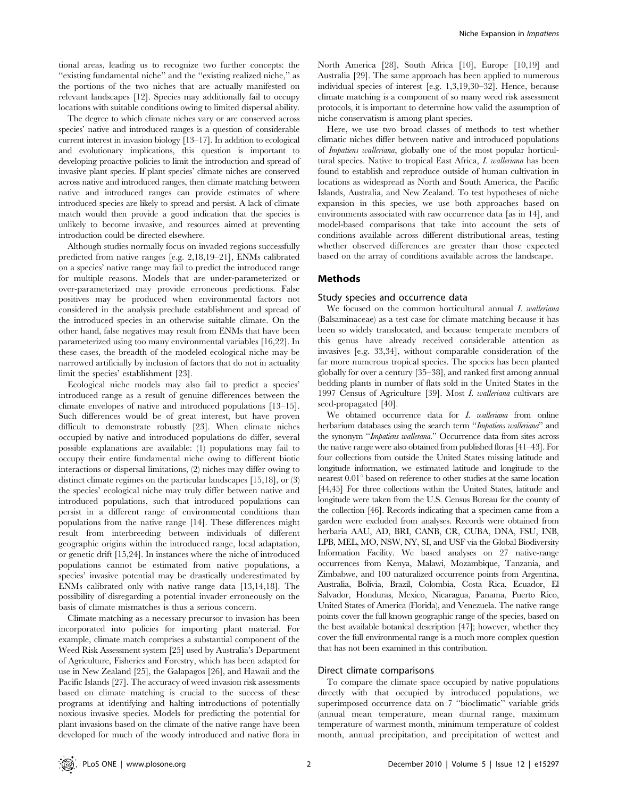tional areas, leading us to recognize two further concepts: the ''existing fundamental niche'' and the ''existing realized niche,'' as the portions of the two niches that are actually manifested on relevant landscapes [12]. Species may additionally fail to occupy locations with suitable conditions owing to limited dispersal ability.

The degree to which climate niches vary or are conserved across species' native and introduced ranges is a question of considerable current interest in invasion biology [13–17]. In addition to ecological and evolutionary implications, this question is important to developing proactive policies to limit the introduction and spread of invasive plant species. If plant species' climate niches are conserved across native and introduced ranges, then climate matching between native and introduced ranges can provide estimates of where introduced species are likely to spread and persist. A lack of climate match would then provide a good indication that the species is unlikely to become invasive, and resources aimed at preventing introduction could be directed elsewhere.

Although studies normally focus on invaded regions successfully predicted from native ranges [e.g. 2,18,19–21], ENMs calibrated on a species' native range may fail to predict the introduced range for multiple reasons. Models that are under-parameterized or over-parameterized may provide erroneous predictions. False positives may be produced when environmental factors not considered in the analysis preclude establishment and spread of the introduced species in an otherwise suitable climate. On the other hand, false negatives may result from ENMs that have been parameterized using too many environmental variables [16,22]. In these cases, the breadth of the modeled ecological niche may be narrowed artificially by inclusion of factors that do not in actuality limit the species' establishment [23].

Ecological niche models may also fail to predict a species' introduced range as a result of genuine differences between the climate envelopes of native and introduced populations [13–15]. Such differences would be of great interest, but have proven difficult to demonstrate robustly [23]. When climate niches occupied by native and introduced populations do differ, several possible explanations are available: (1) populations may fail to occupy their entire fundamental niche owing to different biotic interactions or dispersal limitations, (2) niches may differ owing to distinct climate regimes on the particular landscapes [15,18], or (3) the species' ecological niche may truly differ between native and introduced populations, such that introduced populations can persist in a different range of environmental conditions than populations from the native range [14]. These differences might result from interbreeding between individuals of different geographic origins within the introduced range, local adaptation, or genetic drift [15,24]. In instances where the niche of introduced populations cannot be estimated from native populations, a species' invasive potential may be drastically underestimated by ENMs calibrated only with native range data [13,14,18]. The possibility of disregarding a potential invader erroneously on the basis of climate mismatches is thus a serious concern.

Climate matching as a necessary precursor to invasion has been incorporated into policies for importing plant material. For example, climate match comprises a substantial component of the Weed Risk Assessment system [25] used by Australia's Department of Agriculture, Fisheries and Forestry, which has been adapted for use in New Zealand [25], the Galapagos [26], and Hawaii and the Pacific Islands [27]. The accuracy of weed invasion risk assessments based on climate matching is crucial to the success of these programs at identifying and halting introductions of potentially noxious invasive species. Models for predicting the potential for plant invasions based on the climate of the native range have been developed for much of the woody introduced and native flora in North America [28], South Africa [10], Europe [10,19] and Australia [29]. The same approach has been applied to numerous individual species of interest [e.g. 1,3,19,30–32]. Hence, because climate matching is a component of so many weed risk assessment protocols, it is important to determine how valid the assumption of niche conservatism is among plant species.

Here, we use two broad classes of methods to test whether climatic niches differ between native and introduced populations of Impatiens walleriana, globally one of the most popular horticultural species. Native to tropical East Africa, I. walleriana has been found to establish and reproduce outside of human cultivation in locations as widespread as North and South America, the Pacific Islands, Australia, and New Zealand. To test hypotheses of niche expansion in this species, we use both approaches based on environments associated with raw occurrence data [as in 14], and model-based comparisons that take into account the sets of conditions available across different distributional areas, testing whether observed differences are greater than those expected based on the array of conditions available across the landscape.

#### Methods

#### Study species and occurrence data

We focused on the common horticultural annual I. walleriana (Balsaminaceae) as a test case for climate matching because it has been so widely translocated, and because temperate members of this genus have already received considerable attention as invasives [e.g. 33,34], without comparable consideration of the far more numerous tropical species. The species has been planted globally for over a century [35–38], and ranked first among annual bedding plants in number of flats sold in the United States in the 1997 Census of Agriculture [39]. Most I. walleriana cultivars are seed-propagated [40].

We obtained occurrence data for *I. walleriana* from online herbarium databases using the search term "*Impatiens walleriana*" and the synonym ''Impatiens wallerana.'' Occurrence data from sites across the native range were also obtained from published floras [41–43]. For four collections from outside the United States missing latitude and longitude information, we estimated latitude and longitude to the nearest  $0.01^{\circ}$  based on reference to other studies at the same location [44,45] For three collections within the United States, latitude and longitude were taken from the U.S. Census Bureau for the county of the collection [46]. Records indicating that a specimen came from a garden were excluded from analyses. Records were obtained from herbaria AAU, AD, BRI, CANB, CR, CUBA, DNA, FSU, INB, LPB, MEL, MO, NSW, NY, SI, and USF via the Global Biodiversity Information Facility. We based analyses on 27 native-range occurrences from Kenya, Malawi, Mozambique, Tanzania, and Zimbabwe, and 100 naturalized occurrence points from Argentina, Australia, Bolivia, Brazil, Colombia, Costa Rica, Ecuador, El Salvador, Honduras, Mexico, Nicaragua, Panama, Puerto Rico, United States of America (Florida), and Venezuela. The native range points cover the full known geographic range of the species, based on the best available botanical description [47]; however, whether they cover the full environmental range is a much more complex question that has not been examined in this contribution.

#### Direct climate comparisons

To compare the climate space occupied by native populations directly with that occupied by introduced populations, we superimposed occurrence data on 7 ''bioclimatic'' variable grids (annual mean temperature, mean diurnal range, maximum temperature of warmest month, minimum temperature of coldest month, annual precipitation, and precipitation of wettest and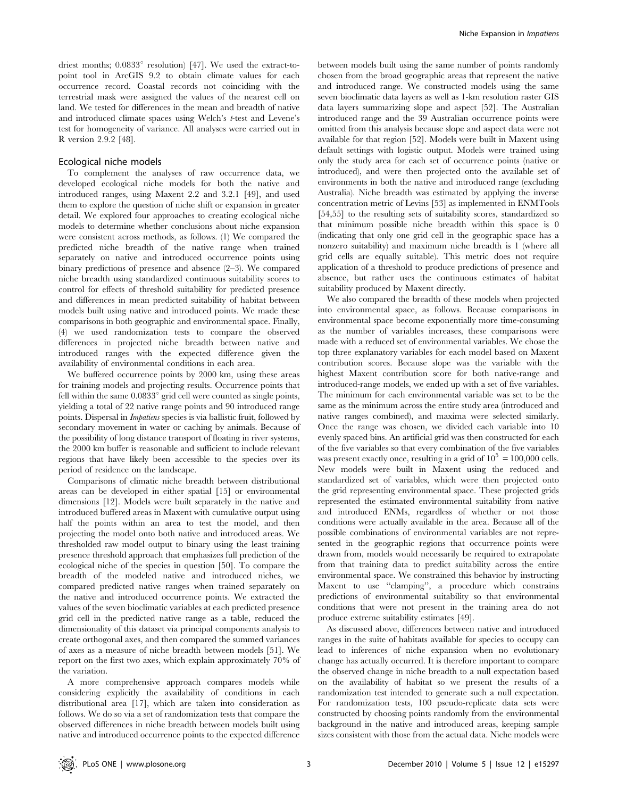driest months;  $0.0833^{\circ}$  resolution) [47]. We used the extract-topoint tool in ArcGIS 9.2 to obtain climate values for each occurrence record. Coastal records not coinciding with the terrestrial mask were assigned the values of the nearest cell on land. We tested for differences in the mean and breadth of native and introduced climate spaces using Welch's t-test and Levene's test for homogeneity of variance. All analyses were carried out in R version 2.9.2 [48].

#### Ecological niche models

To complement the analyses of raw occurrence data, we developed ecological niche models for both the native and introduced ranges, using Maxent 2.2 and 3.2.1 [49], and used them to explore the question of niche shift or expansion in greater detail. We explored four approaches to creating ecological niche models to determine whether conclusions about niche expansion were consistent across methods, as follows. (1) We compared the predicted niche breadth of the native range when trained separately on native and introduced occurrence points using binary predictions of presence and absence (2–3). We compared niche breadth using standardized continuous suitability scores to control for effects of threshold suitability for predicted presence and differences in mean predicted suitability of habitat between models built using native and introduced points. We made these comparisons in both geographic and environmental space. Finally, (4) we used randomization tests to compare the observed differences in projected niche breadth between native and introduced ranges with the expected difference given the availability of environmental conditions in each area.

We buffered occurrence points by 2000 km, using these areas for training models and projecting results. Occurrence points that fell within the same  $0.0833^{\circ}$  grid cell were counted as single points, yielding a total of 22 native range points and 90 introduced range points. Dispersal in Impatiens species is via ballistic fruit, followed by secondary movement in water or caching by animals. Because of the possibility of long distance transport of floating in river systems, the 2000 km buffer is reasonable and sufficient to include relevant regions that have likely been accessible to the species over its period of residence on the landscape.

Comparisons of climatic niche breadth between distributional areas can be developed in either spatial [15] or environmental dimensions [12]. Models were built separately in the native and introduced buffered areas in Maxent with cumulative output using half the points within an area to test the model, and then projecting the model onto both native and introduced areas. We thresholded raw model output to binary using the least training presence threshold approach that emphasizes full prediction of the ecological niche of the species in question [50]. To compare the breadth of the modeled native and introduced niches, we compared predicted native ranges when trained separately on the native and introduced occurrence points. We extracted the values of the seven bioclimatic variables at each predicted presence grid cell in the predicted native range as a table, reduced the dimensionality of this dataset via principal components analysis to create orthogonal axes, and then compared the summed variances of axes as a measure of niche breadth between models [51]. We report on the first two axes, which explain approximately 70% of the variation.

A more comprehensive approach compares models while considering explicitly the availability of conditions in each distributional area [17], which are taken into consideration as follows. We do so via a set of randomization tests that compare the observed differences in niche breadth between models built using native and introduced occurrence points to the expected difference

between models built using the same number of points randomly chosen from the broad geographic areas that represent the native and introduced range. We constructed models using the same seven bioclimatic data layers as well as 1-km resolution raster GIS data layers summarizing slope and aspect [52]. The Australian introduced range and the 39 Australian occurrence points were omitted from this analysis because slope and aspect data were not available for that region [52]. Models were built in Maxent using default settings with logistic output. Models were trained using only the study area for each set of occurrence points (native or introduced), and were then projected onto the available set of environments in both the native and introduced range (excluding Australia). Niche breadth was estimated by applying the inverse concentration metric of Levins [53] as implemented in ENMTools [54,55] to the resulting sets of suitability scores, standardized so that minimum possible niche breadth within this space is 0 (indicating that only one grid cell in the geographic space has a nonzero suitability) and maximum niche breadth is 1 (where all grid cells are equally suitable). This metric does not require application of a threshold to produce predictions of presence and absence, but rather uses the continuous estimates of habitat suitability produced by Maxent directly.

We also compared the breadth of these models when projected into environmental space, as follows. Because comparisons in environmental space become exponentially more time-consuming as the number of variables increases, these comparisons were made with a reduced set of environmental variables. We chose the top three explanatory variables for each model based on Maxent contribution scores. Because slope was the variable with the highest Maxent contribution score for both native-range and introduced-range models, we ended up with a set of five variables. The minimum for each environmental variable was set to be the same as the minimum across the entire study area (introduced and native ranges combined), and maxima were selected similarly. Once the range was chosen, we divided each variable into 10 evenly spaced bins. An artificial grid was then constructed for each of the five variables so that every combination of the five variables was present exactly once, resulting in a grid of  $10^5 = 100,000$  cells. New models were built in Maxent using the reduced and standardized set of variables, which were then projected onto the grid representing environmental space. These projected grids represented the estimated environmental suitability from native and introduced ENMs, regardless of whether or not those conditions were actually available in the area. Because all of the possible combinations of environmental variables are not represented in the geographic regions that occurrence points were drawn from, models would necessarily be required to extrapolate from that training data to predict suitability across the entire environmental space. We constrained this behavior by instructing Maxent to use ''clamping'', a procedure which constrains predictions of environmental suitability so that environmental conditions that were not present in the training area do not produce extreme suitability estimates [49].

As discussed above, differences between native and introduced ranges in the suite of habitats available for species to occupy can lead to inferences of niche expansion when no evolutionary change has actually occurred. It is therefore important to compare the observed change in niche breadth to a null expectation based on the availability of habitat so we present the results of a randomization test intended to generate such a null expectation. For randomization tests, 100 pseudo-replicate data sets were constructed by choosing points randomly from the environmental background in the native and introduced areas, keeping sample sizes consistent with those from the actual data. Niche models were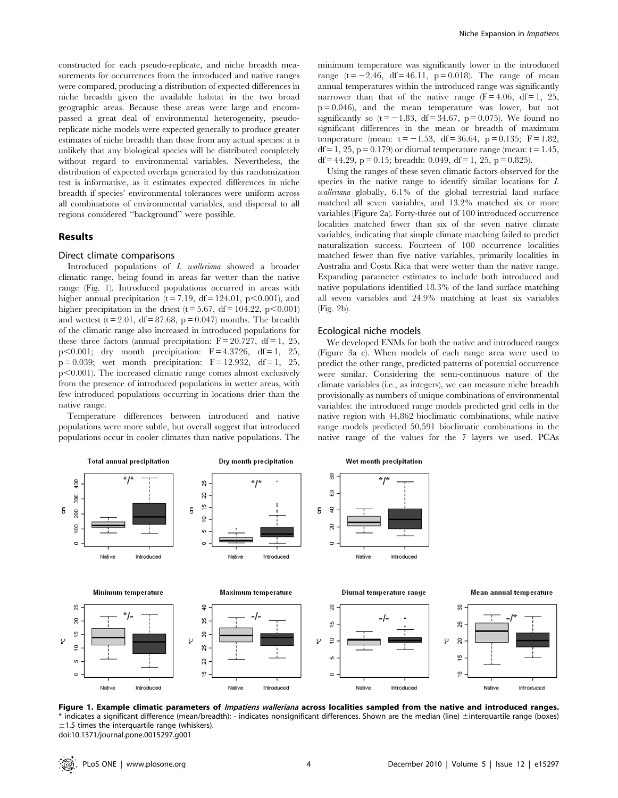constructed for each pseudo-replicate, and niche breadth measurements for occurrences from the introduced and native ranges were compared, producing a distribution of expected differences in niche breadth given the available habitat in the two broad geographic areas. Because these areas were large and encompassed a great deal of environmental heterogeneity, pseudoreplicate niche models were expected generally to produce greater estimates of niche breadth than those from any actual species: it is unlikely that any biological species will be distributed completely without regard to environmental variables. Nevertheless, the distribution of expected overlaps generated by this randomization test is informative, as it estimates expected differences in niche breadth if species' environmental tolerances were uniform across all combinations of environmental variables, and dispersal to all regions considered ''background'' were possible.

#### Results

#### Direct climate comparisons

Introduced populations of I. walleriana showed a broader climatic range, being found in areas far wetter than the native range (Fig. 1). Introduced populations occurred in areas with higher annual precipitation ( $t = 7.19$ ,  $df = 124.01$ ,  $p < 0.001$ ), and higher precipitation in the driest ( $t = 5.67$ , df = 104.22, p<0.001) and wettest  $(t = 2.01, df = 87.68, p = 0.047)$  months. The breadth of the climatic range also increased in introduced populations for these three factors (annual precipitation:  $F = 20.727$ , df = 1, 25, p $<0.001$ ; dry month precipitation:  $F = 4.3726$ , df = 1, 25,  $p = 0.039$ ; wet month precipitation:  $F = 12.932$ , df = 1, 25,  $p<0.001$ ). The increased climatic range comes almost exclusively from the presence of introduced populations in wetter areas, with few introduced populations occurring in locations drier than the native range.

Temperature differences between introduced and native populations were more subtle, but overall suggest that introduced populations occur in cooler climates than native populations. The minimum temperature was significantly lower in the introduced range  $(t = -2.46, df = 46.11, p = 0.018)$ . The range of mean annual temperatures within the introduced range was significantly narrower than that of the native range  $(F = 4.06, df = 1, 25,$  $p = 0.046$ , and the mean temperature was lower, but not significantly so  $(t = -1.83, df = 34.67, p = 0.075)$ . We found no significant differences in the mean or breadth of maximum temperature (mean:  $t = -1.53$ , df = 36.64, p = 0.135; F = 1.82,  $df = 1, 25, p = 0.179$  or diurnal temperature range (mean:  $t = 1.45$ , df = 44.29, p = 0.15; breadth: 0.049, df = 1, 25, p = 0.825).

Using the ranges of these seven climatic factors observed for the species in the native range to identify similar locations for I. walleriana globally, 6.1% of the global terrestrial land surface matched all seven variables, and 13.2% matched six or more variables (Figure 2a). Forty-three out of 100 introduced occurrence localities matched fewer than six of the seven native climate variables, indicating that simple climate matching failed to predict naturalization success. Fourteen of 100 occurrence localities matched fewer than five native variables, primarily localities in Australia and Costa Rica that were wetter than the native range. Expanding parameter estimates to include both introduced and native populations identified 18.3% of the land surface matching all seven variables and 24.9% matching at least six variables (Fig. 2b).

#### Ecological niche models

We developed ENMs for both the native and introduced ranges (Figure 3a–c). When models of each range area were used to predict the other range, predicted patterns of potential occurrence were similar. Considering the semi-continuous nature of the climate variables (i.e., as integers), we can measure niche breadth provisionally as numbers of unique combinations of environmental variables: the introduced range models predicted grid cells in the native region with 44,862 bioclimatic combinations, while native range models predicted 50,591 bioclimatic combinations in the native range of the values for the 7 layers we used. PCAs



Figure 1. Example climatic parameters of *Impatiens walleriana* across localities sampled from the native and introduced ranges. \* indicates a significant difference (mean/breadth); - indicates nonsignificant differences. Shown are the median (line) 6interquartile range (boxes)  $±1.5$  times the interquartile range (whiskers). doi:10.1371/journal.pone.0015297.g001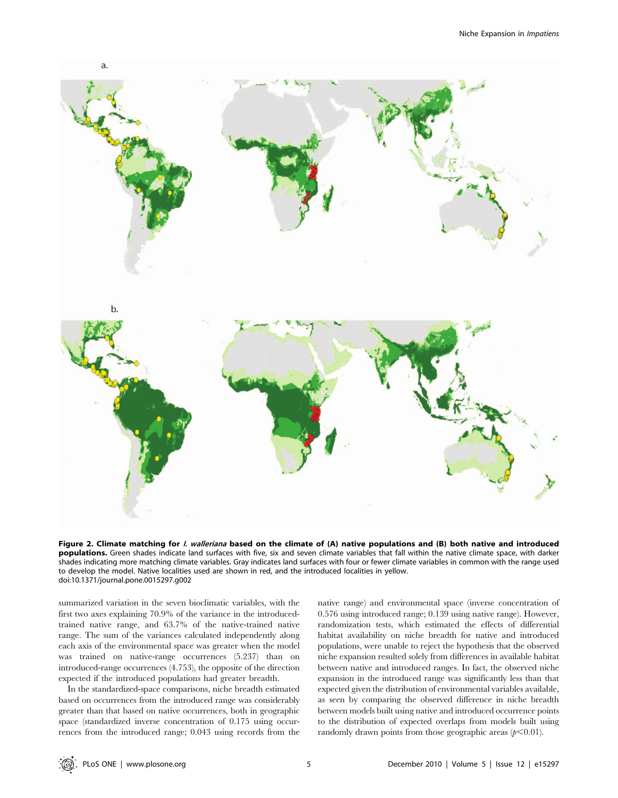

Figure 2. Climate matching for *I. walleriana* based on the climate of (A) native populations and (B) both native and introduced populations. Green shades indicate land surfaces with five, six and seven climate variables that fall within the native climate space, with darker shades indicating more matching climate variables. Gray indicates land surfaces with four or fewer climate variables in common with the range used to develop the model. Native localities used are shown in red, and the introduced localities in yellow. doi:10.1371/journal.pone.0015297.g002

summarized variation in the seven bioclimatic variables, with the first two axes explaining 70.9% of the variance in the introducedtrained native range, and 63.7% of the native-trained native range. The sum of the variances calculated independently along each axis of the environmental space was greater when the model was trained on native-range occurrences (5.237) than on introduced-range occurrences (4.753), the opposite of the direction expected if the introduced populations had greater breadth.

In the standardized-space comparisons, niche breadth estimated based on occurrences from the introduced range was considerably greater than that based on native occurrences, both in geographic space (standardized inverse concentration of 0.175 using occurrences from the introduced range; 0.043 using records from the native range) and environmental space (inverse concentration of 0.576 using introduced range; 0.139 using native range). However, randomization tests, which estimated the effects of differential habitat availability on niche breadth for native and introduced populations, were unable to reject the hypothesis that the observed niche expansion resulted solely from differences in available habitat between native and introduced ranges. In fact, the observed niche expansion in the introduced range was significantly less than that expected given the distribution of environmental variables available, as seen by comparing the observed difference in niche breadth between models built using native and introduced occurrence points to the distribution of expected overlaps from models built using randomly drawn points from those geographic areas  $(p<0.01)$ .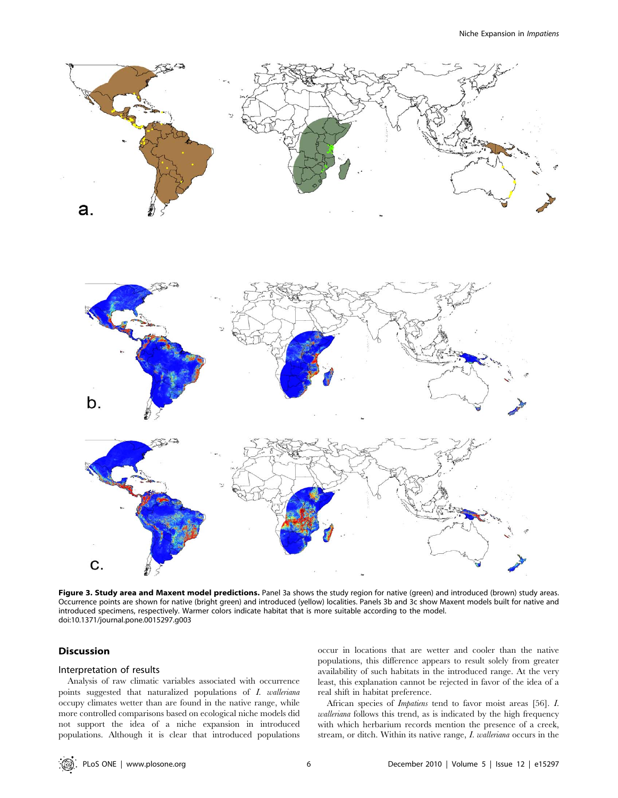

Figure 3. Study area and Maxent model predictions. Panel 3a shows the study region for native (green) and introduced (brown) study areas. Occurrence points are shown for native (bright green) and introduced (yellow) localities. Panels 3b and 3c show Maxent models built for native and introduced specimens, respectively. Warmer colors indicate habitat that is more suitable according to the model. doi:10.1371/journal.pone.0015297.g003

#### Discussion

#### Interpretation of results

Analysis of raw climatic variables associated with occurrence points suggested that naturalized populations of I. walleriana occupy climates wetter than are found in the native range, while more controlled comparisons based on ecological niche models did not support the idea of a niche expansion in introduced populations. Although it is clear that introduced populations occur in locations that are wetter and cooler than the native populations, this difference appears to result solely from greater availability of such habitats in the introduced range. At the very least, this explanation cannot be rejected in favor of the idea of a real shift in habitat preference.

African species of Impatiens tend to favor moist areas [56]. I. walleriana follows this trend, as is indicated by the high frequency with which herbarium records mention the presence of a creek, stream, or ditch. Within its native range, I. walleriana occurs in the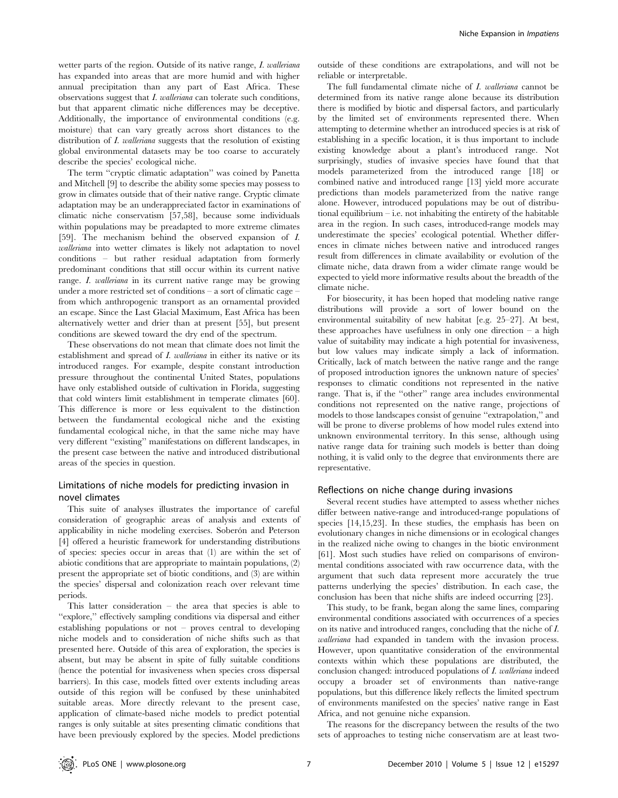wetter parts of the region. Outside of its native range, I. walleriana has expanded into areas that are more humid and with higher annual precipitation than any part of East Africa. These observations suggest that I. walleriana can tolerate such conditions, but that apparent climatic niche differences may be deceptive. Additionally, the importance of environmental conditions (e.g. moisture) that can vary greatly across short distances to the distribution of *I. walleriana* suggests that the resolution of existing global environmental datasets may be too coarse to accurately describe the species' ecological niche.

The term ''cryptic climatic adaptation'' was coined by Panetta and Mitchell [9] to describe the ability some species may possess to grow in climates outside that of their native range. Cryptic climate adaptation may be an underappreciated factor in examinations of climatic niche conservatism [57,58], because some individuals within populations may be preadapted to more extreme climates [59]. The mechanism behind the observed expansion of I. walleriana into wetter climates is likely not adaptation to novel conditions – but rather residual adaptation from formerly predominant conditions that still occur within its current native range. I. walleriana in its current native range may be growing under a more restricted set of conditions – a sort of climatic cage – from which anthropogenic transport as an ornamental provided an escape. Since the Last Glacial Maximum, East Africa has been alternatively wetter and drier than at present [55], but present conditions are skewed toward the dry end of the spectrum.

These observations do not mean that climate does not limit the establishment and spread of *I. walleriana* in either its native or its introduced ranges. For example, despite constant introduction pressure throughout the continental United States, populations have only established outside of cultivation in Florida, suggesting that cold winters limit establishment in temperate climates [60]. This difference is more or less equivalent to the distinction between the fundamental ecological niche and the existing fundamental ecological niche, in that the same niche may have very different ''existing'' manifestations on different landscapes, in the present case between the native and introduced distributional areas of the species in question.

#### Limitations of niche models for predicting invasion in novel climates

This suite of analyses illustrates the importance of careful consideration of geographic areas of analysis and extents of applicability in niche modeling exercises. Soberón and Peterson [4] offered a heuristic framework for understanding distributions of species: species occur in areas that (1) are within the set of abiotic conditions that are appropriate to maintain populations, (2) present the appropriate set of biotic conditions, and (3) are within the species' dispersal and colonization reach over relevant time periods.

This latter consideration – the area that species is able to ''explore,'' effectively sampling conditions via dispersal and either establishing populations or not – proves central to developing niche models and to consideration of niche shifts such as that presented here. Outside of this area of exploration, the species is absent, but may be absent in spite of fully suitable conditions (hence the potential for invasiveness when species cross dispersal barriers). In this case, models fitted over extents including areas outside of this region will be confused by these uninhabited suitable areas. More directly relevant to the present case, application of climate-based niche models to predict potential ranges is only suitable at sites presenting climatic conditions that have been previously explored by the species. Model predictions

outside of these conditions are extrapolations, and will not be reliable or interpretable.

The full fundamental climate niche of I. walleriana cannot be determined from its native range alone because its distribution there is modified by biotic and dispersal factors, and particularly by the limited set of environments represented there. When attempting to determine whether an introduced species is at risk of establishing in a specific location, it is thus important to include existing knowledge about a plant's introduced range. Not surprisingly, studies of invasive species have found that that models parameterized from the introduced range [18] or combined native and introduced range [13] yield more accurate predictions than models parameterized from the native range alone. However, introduced populations may be out of distributional equilibrium  $-$  i.e. not inhabiting the entirety of the habitable area in the region. In such cases, introduced-range models may underestimate the species' ecological potential. Whether differences in climate niches between native and introduced ranges result from differences in climate availability or evolution of the climate niche, data drawn from a wider climate range would be expected to yield more informative results about the breadth of the climate niche.

For biosecurity, it has been hoped that modeling native range distributions will provide a sort of lower bound on the environmental suitability of new habitat [e.g. 25–27]. At best, these approaches have usefulness in only one direction  $-$  a high value of suitability may indicate a high potential for invasiveness, but low values may indicate simply a lack of information. Critically, lack of match between the native range and the range of proposed introduction ignores the unknown nature of species' responses to climatic conditions not represented in the native range. That is, if the ''other'' range area includes environmental conditions not represented on the native range, projections of models to those landscapes consist of genuine ''extrapolation,'' and will be prone to diverse problems of how model rules extend into unknown environmental territory. In this sense, although using native range data for training such models is better than doing nothing, it is valid only to the degree that environments there are representative.

#### Reflections on niche change during invasions

Several recent studies have attempted to assess whether niches differ between native-range and introduced-range populations of species [14,15,23]. In these studies, the emphasis has been on evolutionary changes in niche dimensions or in ecological changes in the realized niche owing to changes in the biotic environment [61]. Most such studies have relied on comparisons of environmental conditions associated with raw occurrence data, with the argument that such data represent more accurately the true patterns underlying the species' distribution. In each case, the conclusion has been that niche shifts are indeed occurring [23].

This study, to be frank, began along the same lines, comparing environmental conditions associated with occurrences of a species on its native and introduced ranges, concluding that the niche of I. walleriana had expanded in tandem with the invasion process. However, upon quantitative consideration of the environmental contexts within which these populations are distributed, the conclusion changed: introduced populations of I. walleriana indeed occupy a broader set of environments than native-range populations, but this difference likely reflects the limited spectrum of environments manifested on the species' native range in East Africa, and not genuine niche expansion.

The reasons for the discrepancy between the results of the two sets of approaches to testing niche conservatism are at least two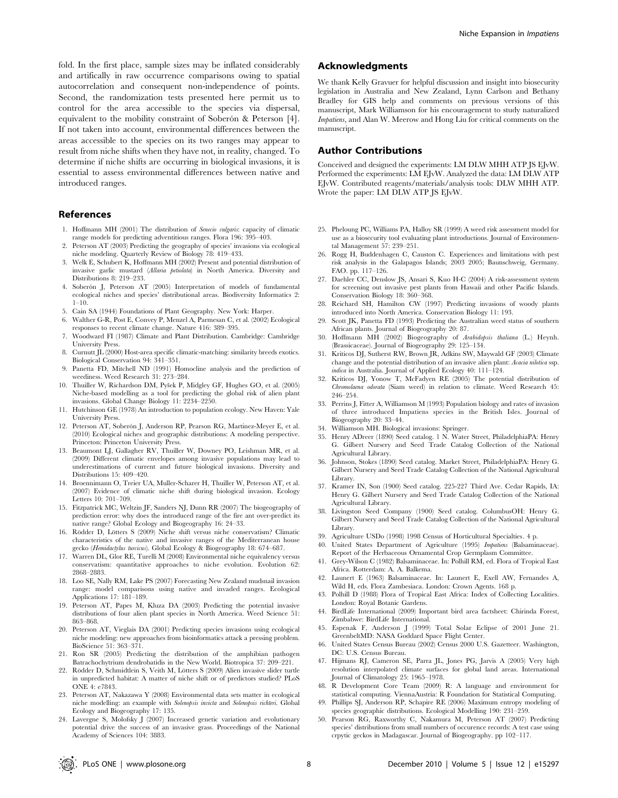fold. In the first place, sample sizes may be inflated considerably and artifically in raw occurrence comparisons owing to spatial autocorrelation and consequent non-independence of points. Second, the randomization tests presented here permit us to control for the area accessible to the species via dispersal, equivalent to the mobility constraint of Soberón & Peterson [4]. If not taken into account, environmental differences between the areas accessible to the species on its two ranges may appear to result from niche shifts when they have not, in reality, changed. To determine if niche shifts are occurring in biological invasions, it is essential to assess environmental differences between native and introduced ranges.

#### References

- 1. Hoffmann MH (2001) The distribution of Senecio vulgaris: capacity of climatic range models for predicting adventitious ranges. Flora 196: 395–403.
- 2. Peterson AT (2003) Predicting the geography of species' invasions via ecological niche modeling. Quarterly Review of Biology 78: 419–433.
- 3. Welk E, Schubert K, Hoffmann MH (2002) Present and potential distribution of invasive garlic mustard (Allaria petiolata) in North America. Diversity and Distributions 8: 219–233.
- 4. Soberón J, Peterson AT (2005) Interpretation of models of fundamental ecological niches and species' distributional areas. Biodiversity Informatics 2:  $1 - 10$
- 5. Cain SA (1944) Foundations of Plant Geography. New York: Harper.
- 6. Walther G-R, Post E, Convey P, Menzel A, Parmesan C, et al. (2002) Ecological responses to recent climate change. Nature 416: 389–395.
- 7. Woodward FI (1987) Climate and Plant Distribution. Cambridge: Cambridge University Press.
- 8. Curnutt JL (2000) Host-area specific climatic-matching: similarity breeds exotics. Biological Conservation 94: 341–351.
- 9. Panetta FD, Mitchell ND (1991) Homocline analysis and the prediction of weediness. Weed Research 31: 273–284.
- 10. Thuiller W, Richardson DM, Pyšek P, Midgley GF, Hughes GO, et al. (2005) Niche-based modelling as a tool for predicting the global risk of alien plant invasions. Global Change Biology 11: 2234–2250.
- 11. Hutchinson GE (1978) An introduction to population ecology. New Haven: Yale University Press.
- 12. Peterson AT, Soberón J, Anderson RP, Pearson RG, Martínez-Meyer E, et al. (2010) Ecological niches and geographic distributions: A modeling perspective. Princeton: Princeton University Press.
- 13. Beaumont LJ, Gallagher RV, Thuiller W, Downey PO, Leishman MR, et al. (2009) Different climatic envelopes among invasive populations may lead to underestimations of current and future biological invasions. Diversity and Distributions 15: 409–420.
- 14. Broennimann O, Treier UA, Muller-Scharer H, Thuiller W, Peterson AT, et al. (2007) Evidence of climatic niche shift during biological invasion. Ecology Letters 10: 701–709.
- 15. Fitzpatrick MC, Weltzin JF, Sanders NJ, Dunn RR (2007) The biogeography of prediction error: why does the introduced range of the fire ant over-predict its native range? Global Ecology and Biogeography 16: 24–33.
- 16. Rödder D, Lötters S (2009) Niche shift versus niche conservatism? Climatic characteristics of the native and invasive ranges of the Mediterranean house gecko (Hemidactylus turcicus). Global Ecology & Biogeography 18: 674–687.
- 17. Warren DL, Glor RE, Turelli M (2008) Environmental niche equivalency versus conservatism: quantitative approaches to niche evolution. Evolution 62: 2868–2883.
- 18. Loo SE, Nally RM, Lake PS (2007) Forecasting New Zealand mudsnail invasion range: model comparisons using native and invaded ranges. Ecological Applications 17: 181–189.
- 19. Peterson AT, Papes M, Kluza DA (2003) Predicting the potential invasive distributions of four alien plant species in North America. Weed Science 51: 863–868.
- 20. Peterson AT, Vieglais DA (2001) Predicting species invasions using ecological niche modeling: new approaches from bioinformatics attack a pressing problem. BioScience 51: 363–371.
- 21. Ron SR (2005) Predicting the distribution of the amphibian pathogen Batrachochytrium dendrobatidis in the New World. Biotropica 37: 209–221.
- 22. Rödder D, Schmidtlein S, Veith M, Lötters S (2009) Alien invasive slider turtle in unpredicted habitat: A matter of niche shift or of predictors studied? PLoS ONE 4: e7843.
- 23. Peterson AT, Nakazawa Y (2008) Environmental data sets matter in ecological niche modelling: an example with Solenopsis invicta and Solenopsis richteri. Global Ecology and Biogeography 17: 135.
- 24. Lavergne S, Molofsky J (2007) Increased genetic variation and evolutionary potential drive the success of an invasive grass. Proceedings of the National Academy of Sciences 104: 3883.

#### Acknowledgments

We thank Kelly Gravuer for helpful discussion and insight into biosecurity legislation in Australia and New Zealand, Lynn Carlson and Bethany Bradley for GIS help and comments on previous versions of this manuscript, Mark Williamson for his encouragement to study naturalized Impatiens, and Alan W. Meerow and Hong Liu for critical comments on the manuscript.

#### Author Contributions

Conceived and designed the experiments: LM DLW MHH ATP JS EJvW. Performed the experiments: LM EJvW. Analyzed the data: LM DLW ATP EJvW. Contributed reagents/materials/analysis tools: DLW MHH ATP. Wrote the paper: LM DLW ATP JS EJvW.

- 25. Pheloung PC, Williams PA, Halloy SR (1999) A weed risk assessment model for use as a biosecurity tool evaluating plant introductions. Journal of Environmental Management 57: 239–251.
- 26. Rogg H, Buddenhagen C, Causton C. Experiences and limitations with pest risk analysis in the Galapagos Islands; 2003 2005; Baunschweig, Germany. FAO. pp. 117–126.
- 27. Daehler CC, Denslow JS, Ansari S, Kuo H-C (2004) A risk-assessment system for screening out invasive pest plants from Hawaii and other Pacific Islands. Conservation Biology 18: 360–368.
- 28. Reichard SH, Hamilton CW (1997) Predicting invasions of woody plants introduced into North America. Conservation Biology 11: 193.
- 29. Scott JK, Panetta FD (1993) Predicting the Australian weed status of southern African plants. Journal of Biogeography 20: 87.
- 30. Hoffmann MH (2002) Biogeography of Arabidopsis thaliana (L.) Heynh. (Brassicaceae). Journal of Biogeography 29: 125–134.
- 31. Kriticos DJ, Sutherst RW, Brown JR, Adkins SW, Maywald GF (2003) Climate change and the potential distribution of an invasive alien plant: Acacia nilotica ssp. indica in Australia. Journal of Applied Ecology 40: 111–124.
- 32. Kriticos DJ, Yonow T, McFadyen RE (2005) The potential distribution of Chromolaena odorata (Siam weed) in relation to climate. Weed Research 45: 246–254.
- 33. Perrins J, Fitter A, Williamson M (1993) Population biology and rates of invasion of three introduced Impatiens species in the British Isles. Journal of Biogeography 20: 33–44.
- 34. Williamson MH. Biological invasions: Springer.
- 35. Henry ADreer (1890) Seed catalog. 1 N. Water Street, PhiladelphiaPA: Henry G. Gilbert Nursery and Seed Trade Catalog Collection of the National Agricultural Library.
- 36. Johnson, Stokes (1890) Seed catalog. Market Street, PhiladelphiaPA: Henry G. Gilbert Nursery and Seed Trade Catalog Collection of the National Agricultural Library.
- 37. Kramer IN, Son (1900) Seed catalog. 225-227 Third Ave. Cedar Rapids, IA: Henry G. Gilbert Nursery and Seed Trade Catalog Collection of the National Agricultural Library.
- 38. Livingston Seed Company (1900) Seed catalog. ColumbusOH: Henry G. Gilbert Nursery and Seed Trade Catalog Collection of the National Agricultural Library.
- 39. Agriculture USDo (1998) 1998 Census of Horticultural Specialties. 4 p.
- United States Department of Agriculture (1995) Impatiens (Balsaminaceae). Report of the Herbaceous Ornamental Crop Germplasm Committee.
- 41. Grey-Wilson C (1982) Balsaminaceae. In: Polhill RM, ed. Flora of Tropical East Africa. Rotterdam: A. A. Balkema.
- 42. Launert E (1963) Balsaminaceae. In: Launert E, Exell AW, Fernandes A, Wild H, eds. Flora Zambesiaca. London: Crown Agents. 168 p.
- 43. Polhill D (1988) Flora of Tropical East Africa: Index of Collecting Localities. London: Royal Botanic Gardens.
- 44. BirdLife International (2009) Important bird area factsheet: Chirinda Forest, Zimbabwe: BirdLife International.
- 45. Espenak F, Anderson J (1999) Total Solar Eclipse of 2001 June 21. GreenbeltMD: NASA Goddard Space Flight Center.
- 46. United States Census Bureau (2002) Census 2000 U.S. Gazetteer. Washington, DC: U.S. Census Bureau.
- 47. Hijmans RJ, Cameron SE, Parra JL, Jones PG, Jarvis A (2005) Very high resolution interpolated climate surfaces for global land areas. International Journal of Climatology 25: 1965–1978.
- 48. R Development Core Team (2009) R: A language and environment for statistical computing. ViennaAustria: R Foundation for Statistical Computing.
- 49. Phillips SJ, Anderson RP, Schapire RE (2006) Maximum entropy modeling of species geographic distributions. Ecological Modelling 190: 231–259.
- 50. Pearson RG, Raxworthy C, Nakamura M, Peterson AT (2007) Predicting species' distributions from small numbers of occurence records: A test case using crpytic geckos in Madagascar. Journal of Biogeography. pp 102–117.